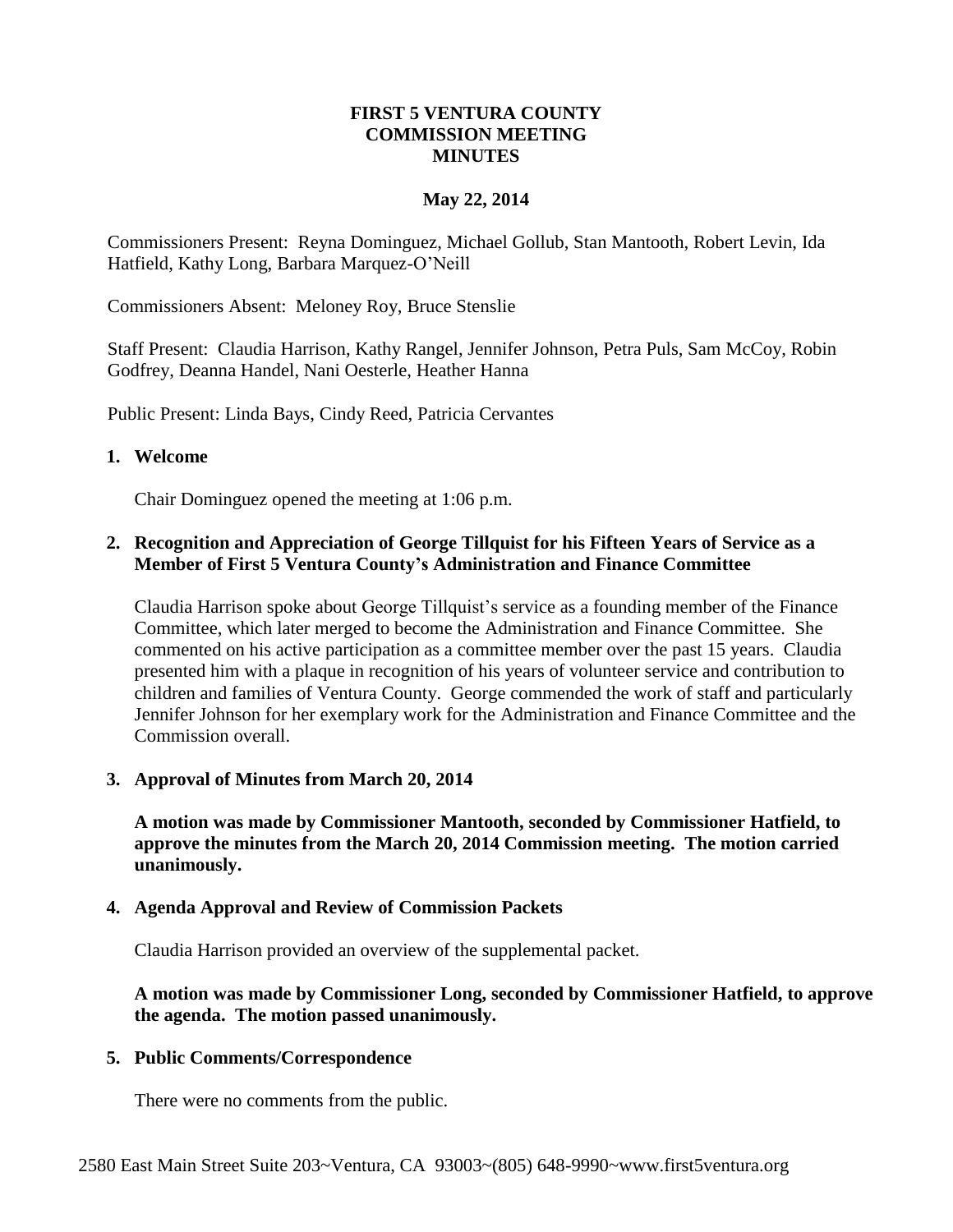#### **FIRST 5 VENTURA COUNTY COMMISSION MEETING MINUTES**

### **May 22, 2014**

Commissioners Present: Reyna Dominguez, Michael Gollub, Stan Mantooth, Robert Levin, Ida Hatfield, Kathy Long, Barbara Marquez-O'Neill

Commissioners Absent: Meloney Roy, Bruce Stenslie

Staff Present: Claudia Harrison, Kathy Rangel, Jennifer Johnson, Petra Puls, Sam McCoy, Robin Godfrey, Deanna Handel, Nani Oesterle, Heather Hanna

Public Present: Linda Bays, Cindy Reed, Patricia Cervantes

#### **1. Welcome**

Chair Dominguez opened the meeting at 1:06 p.m.

### **2. Recognition and Appreciation of George Tillquist for his Fifteen Years of Service as a Member of First 5 Ventura County's Administration and Finance Committee**

Claudia Harrison spoke about George Tillquist's service as a founding member of the Finance Committee, which later merged to become the Administration and Finance Committee. She commented on his active participation as a committee member over the past 15 years. Claudia presented him with a plaque in recognition of his years of volunteer service and contribution to children and families of Ventura County. George commended the work of staff and particularly Jennifer Johnson for her exemplary work for the Administration and Finance Committee and the Commission overall.

### **3. Approval of Minutes from March 20, 2014**

**A motion was made by Commissioner Mantooth, seconded by Commissioner Hatfield, to approve the minutes from the March 20, 2014 Commission meeting. The motion carried unanimously.**

### **4. Agenda Approval and Review of Commission Packets**

Claudia Harrison provided an overview of the supplemental packet.

### **A motion was made by Commissioner Long, seconded by Commissioner Hatfield, to approve the agenda. The motion passed unanimously.**

### **5. Public Comments/Correspondence**

There were no comments from the public.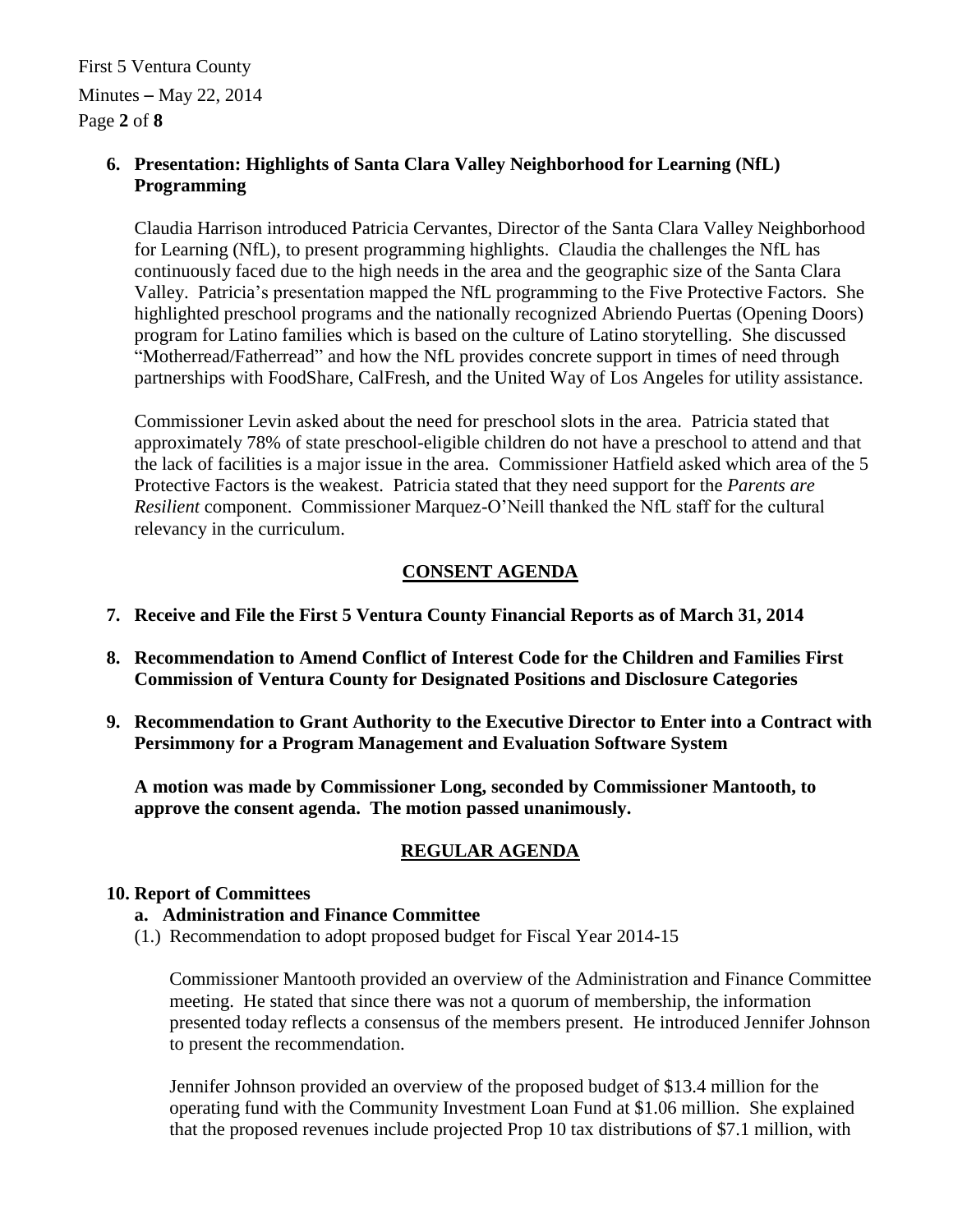First 5 Ventura County Minutes – May 22, 2014 Page **2** of **8**

### **6. Presentation: Highlights of Santa Clara Valley Neighborhood for Learning (NfL) Programming**

Claudia Harrison introduced Patricia Cervantes, Director of the Santa Clara Valley Neighborhood for Learning (NfL), to present programming highlights. Claudia the challenges the NfL has continuously faced due to the high needs in the area and the geographic size of the Santa Clara Valley. Patricia's presentation mapped the NfL programming to the Five Protective Factors. She highlighted preschool programs and the nationally recognized Abriendo Puertas (Opening Doors) program for Latino families which is based on the culture of Latino storytelling. She discussed "Motherread/Fatherread" and how the NfL provides concrete support in times of need through partnerships with FoodShare, CalFresh, and the United Way of Los Angeles for utility assistance.

Commissioner Levin asked about the need for preschool slots in the area. Patricia stated that approximately 78% of state preschool-eligible children do not have a preschool to attend and that the lack of facilities is a major issue in the area. Commissioner Hatfield asked which area of the 5 Protective Factors is the weakest. Patricia stated that they need support for the *Parents are Resilient* component. Commissioner Marquez-O'Neill thanked the NfL staff for the cultural relevancy in the curriculum.

## **CONSENT AGENDA**

- **7. Receive and File the First 5 Ventura County Financial Reports as of March 31, 2014**
- **8. Recommendation to Amend Conflict of Interest Code for the Children and Families First Commission of Ventura County for Designated Positions and Disclosure Categories**
- **9. Recommendation to Grant Authority to the Executive Director to Enter into a Contract with Persimmony for a Program Management and Evaluation Software System**

**A motion was made by Commissioner Long, seconded by Commissioner Mantooth, to approve the consent agenda. The motion passed unanimously.**

## **REGULAR AGENDA**

### **10. Report of Committees**

### **a. Administration and Finance Committee**

(1.) Recommendation to adopt proposed budget for Fiscal Year 2014-15

Commissioner Mantooth provided an overview of the Administration and Finance Committee meeting. He stated that since there was not a quorum of membership, the information presented today reflects a consensus of the members present. He introduced Jennifer Johnson to present the recommendation.

Jennifer Johnson provided an overview of the proposed budget of \$13.4 million for the operating fund with the Community Investment Loan Fund at \$1.06 million. She explained that the proposed revenues include projected Prop 10 tax distributions of \$7.1 million, with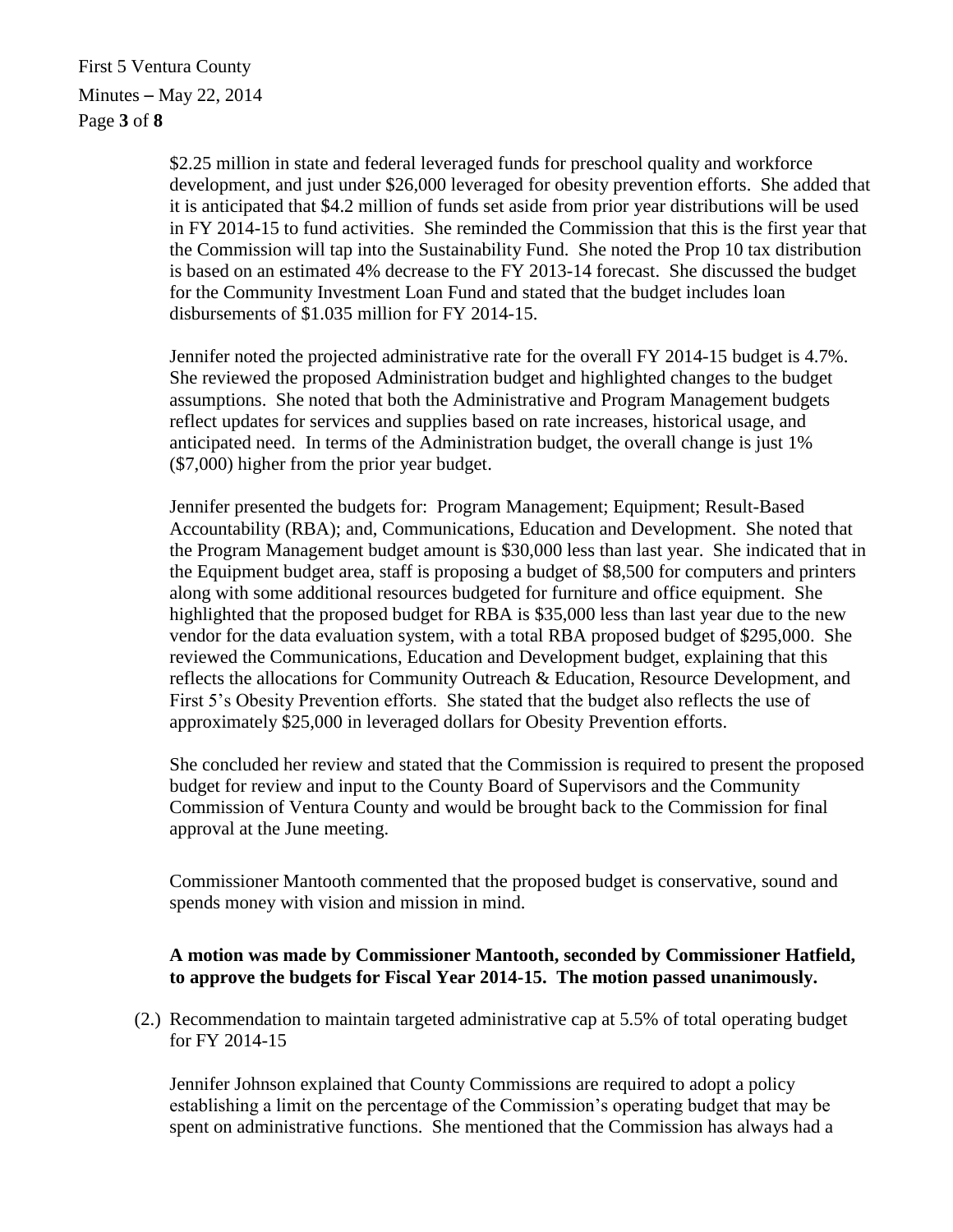First 5 Ventura County Minutes – May 22, 2014 Page **3** of **8**

> \$2.25 million in state and federal leveraged funds for preschool quality and workforce development, and just under \$26,000 leveraged for obesity prevention efforts. She added that it is anticipated that \$4.2 million of funds set aside from prior year distributions will be used in FY 2014-15 to fund activities. She reminded the Commission that this is the first year that the Commission will tap into the Sustainability Fund. She noted the Prop 10 tax distribution is based on an estimated 4% decrease to the FY 2013-14 forecast. She discussed the budget for the Community Investment Loan Fund and stated that the budget includes loan disbursements of \$1.035 million for FY 2014-15.

Jennifer noted the projected administrative rate for the overall FY 2014-15 budget is 4.7%. She reviewed the proposed Administration budget and highlighted changes to the budget assumptions. She noted that both the Administrative and Program Management budgets reflect updates for services and supplies based on rate increases, historical usage, and anticipated need. In terms of the Administration budget, the overall change is just 1% (\$7,000) higher from the prior year budget.

Jennifer presented the budgets for: Program Management; Equipment; Result-Based Accountability (RBA); and, Communications, Education and Development. She noted that the Program Management budget amount is \$30,000 less than last year. She indicated that in the Equipment budget area, staff is proposing a budget of \$8,500 for computers and printers along with some additional resources budgeted for furniture and office equipment. She highlighted that the proposed budget for RBA is \$35,000 less than last year due to the new vendor for the data evaluation system, with a total RBA proposed budget of \$295,000. She reviewed the Communications, Education and Development budget, explaining that this reflects the allocations for Community Outreach & Education, Resource Development, and First 5's Obesity Prevention efforts. She stated that the budget also reflects the use of approximately \$25,000 in leveraged dollars for Obesity Prevention efforts.

She concluded her review and stated that the Commission is required to present the proposed budget for review and input to the County Board of Supervisors and the Community Commission of Ventura County and would be brought back to the Commission for final approval at the June meeting.

Commissioner Mantooth commented that the proposed budget is conservative, sound and spends money with vision and mission in mind.

### **A motion was made by Commissioner Mantooth, seconded by Commissioner Hatfield, to approve the budgets for Fiscal Year 2014-15. The motion passed unanimously.**

(2.) Recommendation to maintain targeted administrative cap at 5.5% of total operating budget for FY 2014-15

Jennifer Johnson explained that County Commissions are required to adopt a policy establishing a limit on the percentage of the Commission's operating budget that may be spent on administrative functions. She mentioned that the Commission has always had a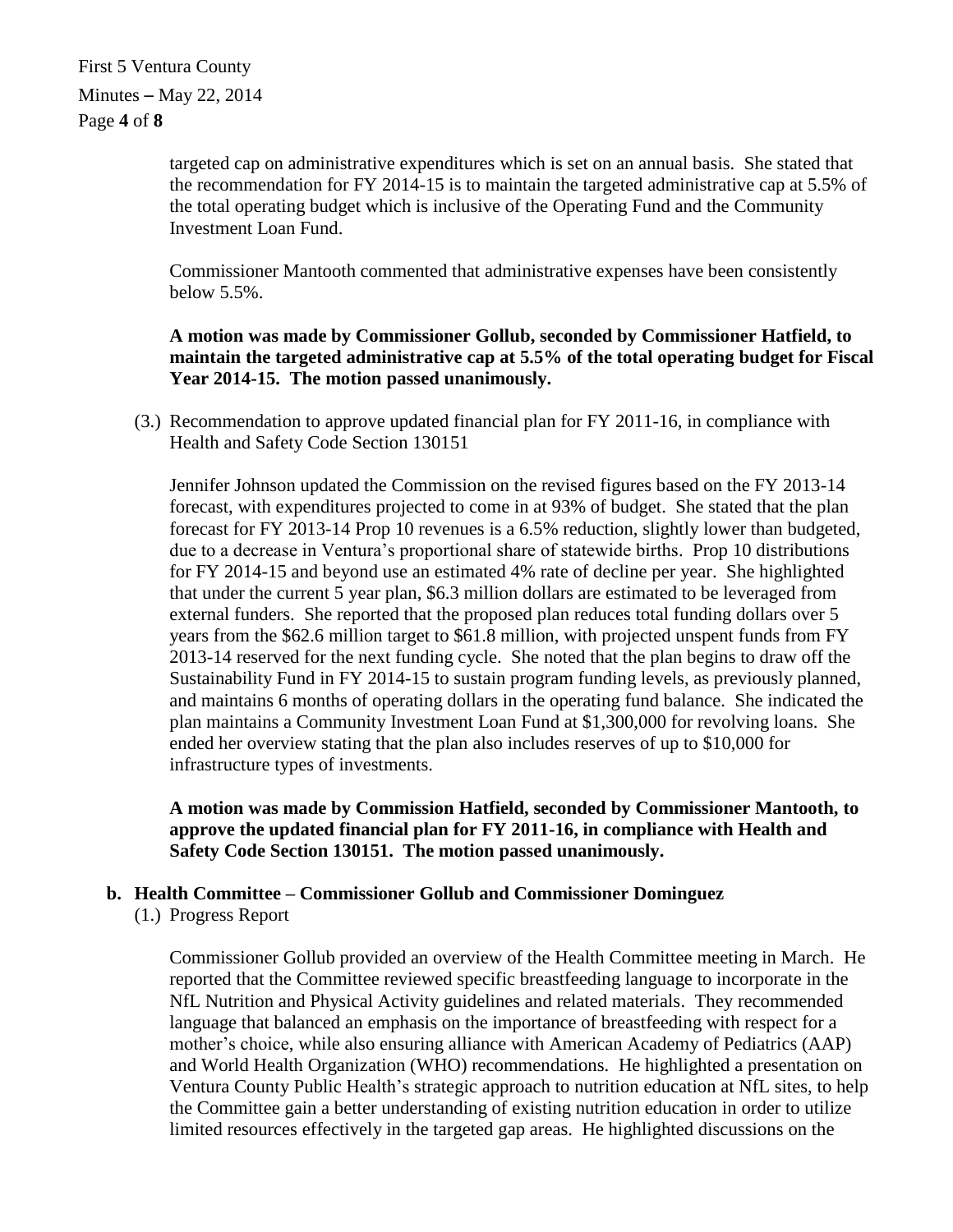First 5 Ventura County Minutes – May 22, 2014 Page **4** of **8**

> targeted cap on administrative expenditures which is set on an annual basis. She stated that the recommendation for FY 2014-15 is to maintain the targeted administrative cap at 5.5% of the total operating budget which is inclusive of the Operating Fund and the Community Investment Loan Fund.

Commissioner Mantooth commented that administrative expenses have been consistently below 5.5%.

**A motion was made by Commissioner Gollub, seconded by Commissioner Hatfield, to maintain the targeted administrative cap at 5.5% of the total operating budget for Fiscal Year 2014-15. The motion passed unanimously.**

(3.) Recommendation to approve updated financial plan for FY 2011-16, in compliance with Health and Safety Code Section 130151

Jennifer Johnson updated the Commission on the revised figures based on the FY 2013-14 forecast, with expenditures projected to come in at 93% of budget. She stated that the plan forecast for FY 2013-14 Prop 10 revenues is a 6.5% reduction, slightly lower than budgeted, due to a decrease in Ventura's proportional share of statewide births. Prop 10 distributions for FY 2014-15 and beyond use an estimated 4% rate of decline per year. She highlighted that under the current 5 year plan, \$6.3 million dollars are estimated to be leveraged from external funders. She reported that the proposed plan reduces total funding dollars over 5 years from the \$62.6 million target to \$61.8 million, with projected unspent funds from FY 2013-14 reserved for the next funding cycle. She noted that the plan begins to draw off the Sustainability Fund in FY 2014-15 to sustain program funding levels, as previously planned, and maintains 6 months of operating dollars in the operating fund balance. She indicated the plan maintains a Community Investment Loan Fund at \$1,300,000 for revolving loans. She ended her overview stating that the plan also includes reserves of up to \$10,000 for infrastructure types of investments.

**A motion was made by Commission Hatfield, seconded by Commissioner Mantooth, to approve the updated financial plan for FY 2011-16, in compliance with Health and Safety Code Section 130151. The motion passed unanimously.**

## **b. Health Committee – Commissioner Gollub and Commissioner Dominguez**

(1.) Progress Report

Commissioner Gollub provided an overview of the Health Committee meeting in March. He reported that the Committee reviewed specific breastfeeding language to incorporate in the NfL Nutrition and Physical Activity guidelines and related materials. They recommended language that balanced an emphasis on the importance of breastfeeding with respect for a mother's choice, while also ensuring alliance with American Academy of Pediatrics (AAP) and World Health Organization (WHO) recommendations. He highlighted a presentation on Ventura County Public Health's strategic approach to nutrition education at NfL sites, to help the Committee gain a better understanding of existing nutrition education in order to utilize limited resources effectively in the targeted gap areas. He highlighted discussions on the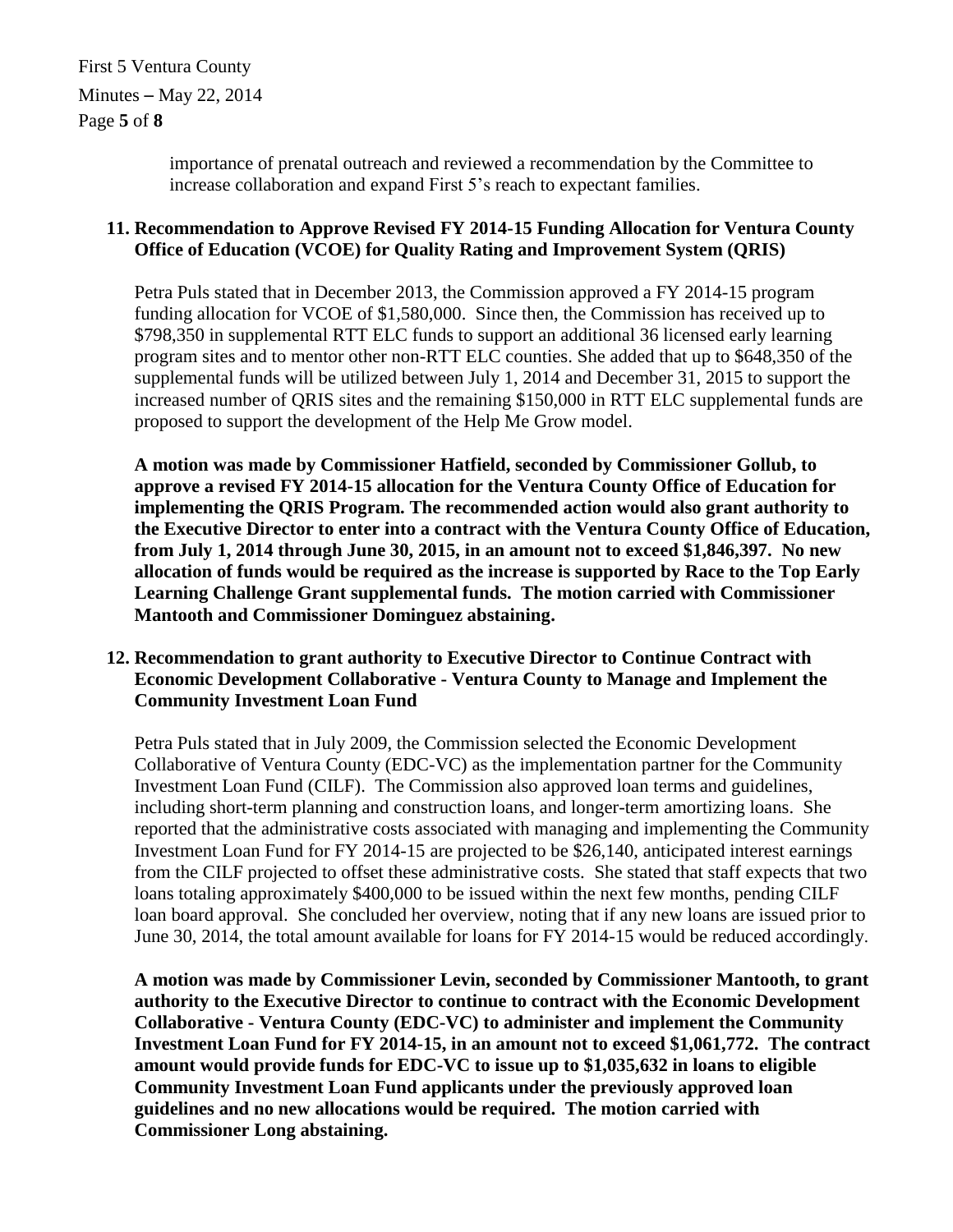First 5 Ventura County Minutes – May 22, 2014 Page **5** of **8**

> importance of prenatal outreach and reviewed a recommendation by the Committee to increase collaboration and expand First 5's reach to expectant families.

### **11. Recommendation to Approve Revised FY 2014-15 Funding Allocation for Ventura County Office of Education (VCOE) for Quality Rating and Improvement System (QRIS)**

Petra Puls stated that in December 2013, the Commission approved a FY 2014-15 program funding allocation for VCOE of \$1,580,000. Since then, the Commission has received up to \$798,350 in supplemental RTT ELC funds to support an additional 36 licensed early learning program sites and to mentor other non-RTT ELC counties. She added that up to \$648,350 of the supplemental funds will be utilized between July 1, 2014 and December 31, 2015 to support the increased number of QRIS sites and the remaining \$150,000 in RTT ELC supplemental funds are proposed to support the development of the Help Me Grow model.

**A motion was made by Commissioner Hatfield, seconded by Commissioner Gollub, to approve a revised FY 2014-15 allocation for the Ventura County Office of Education for implementing the QRIS Program. The recommended action would also grant authority to the Executive Director to enter into a contract with the Ventura County Office of Education, from July 1, 2014 through June 30, 2015, in an amount not to exceed \$1,846,397. No new allocation of funds would be required as the increase is supported by Race to the Top Early Learning Challenge Grant supplemental funds. The motion carried with Commissioner Mantooth and Commissioner Dominguez abstaining.**

## **12. Recommendation to grant authority to Executive Director to Continue Contract with Economic Development Collaborative - Ventura County to Manage and Implement the Community Investment Loan Fund**

Petra Puls stated that in July 2009, the Commission selected the Economic Development Collaborative of Ventura County (EDC-VC) as the implementation partner for the Community Investment Loan Fund (CILF). The Commission also approved loan terms and guidelines, including short-term planning and construction loans, and longer-term amortizing loans. She reported that the administrative costs associated with managing and implementing the Community Investment Loan Fund for FY 2014-15 are projected to be \$26,140, anticipated interest earnings from the CILF projected to offset these administrative costs. She stated that staff expects that two loans totaling approximately \$400,000 to be issued within the next few months, pending CILF loan board approval. She concluded her overview, noting that if any new loans are issued prior to June 30, 2014, the total amount available for loans for FY 2014-15 would be reduced accordingly.

**A motion was made by Commissioner Levin, seconded by Commissioner Mantooth, to grant authority to the Executive Director to continue to contract with the Economic Development Collaborative - Ventura County (EDC-VC) to administer and implement the Community Investment Loan Fund for FY 2014-15, in an amount not to exceed \$1,061,772. The contract amount would provide funds for EDC-VC to issue up to \$1,035,632 in loans to eligible Community Investment Loan Fund applicants under the previously approved loan guidelines and no new allocations would be required. The motion carried with Commissioner Long abstaining.**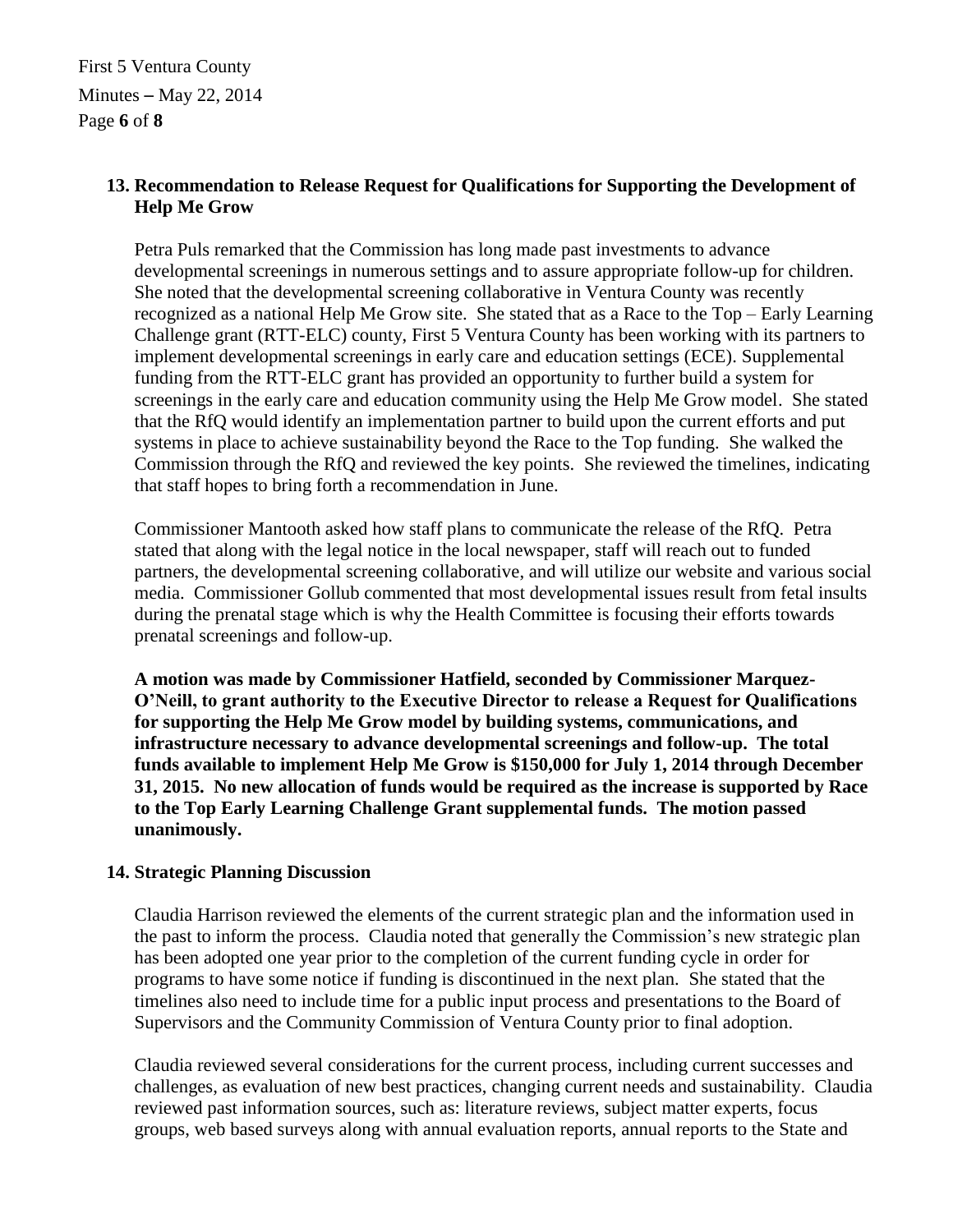First 5 Ventura County Minutes – May 22, 2014 Page **6** of **8**

# **13. Recommendation to Release Request for Qualifications for Supporting the Development of Help Me Grow**

Petra Puls remarked that the Commission has long made past investments to advance developmental screenings in numerous settings and to assure appropriate follow-up for children. She noted that the developmental screening collaborative in Ventura County was recently recognized as a national Help Me Grow site. She stated that as a Race to the Top – Early Learning Challenge grant (RTT-ELC) county, First 5 Ventura County has been working with its partners to implement developmental screenings in early care and education settings (ECE). Supplemental funding from the RTT-ELC grant has provided an opportunity to further build a system for screenings in the early care and education community using the Help Me Grow model. She stated that the RfQ would identify an implementation partner to build upon the current efforts and put systems in place to achieve sustainability beyond the Race to the Top funding. She walked the Commission through the RfQ and reviewed the key points. She reviewed the timelines, indicating that staff hopes to bring forth a recommendation in June.

Commissioner Mantooth asked how staff plans to communicate the release of the RfQ. Petra stated that along with the legal notice in the local newspaper, staff will reach out to funded partners, the developmental screening collaborative, and will utilize our website and various social media. Commissioner Gollub commented that most developmental issues result from fetal insults during the prenatal stage which is why the Health Committee is focusing their efforts towards prenatal screenings and follow-up.

**A motion was made by Commissioner Hatfield, seconded by Commissioner Marquez-O'Neill, to grant authority to the Executive Director to release a Request for Qualifications for supporting the Help Me Grow model by building systems, communications, and infrastructure necessary to advance developmental screenings and follow-up. The total funds available to implement Help Me Grow is \$150,000 for July 1, 2014 through December 31, 2015. No new allocation of funds would be required as the increase is supported by Race to the Top Early Learning Challenge Grant supplemental funds. The motion passed unanimously.**

### **14. Strategic Planning Discussion**

Claudia Harrison reviewed the elements of the current strategic plan and the information used in the past to inform the process. Claudia noted that generally the Commission's new strategic plan has been adopted one year prior to the completion of the current funding cycle in order for programs to have some notice if funding is discontinued in the next plan. She stated that the timelines also need to include time for a public input process and presentations to the Board of Supervisors and the Community Commission of Ventura County prior to final adoption.

Claudia reviewed several considerations for the current process, including current successes and challenges, as evaluation of new best practices, changing current needs and sustainability. Claudia reviewed past information sources, such as: literature reviews, subject matter experts, focus groups, web based surveys along with annual evaluation reports, annual reports to the State and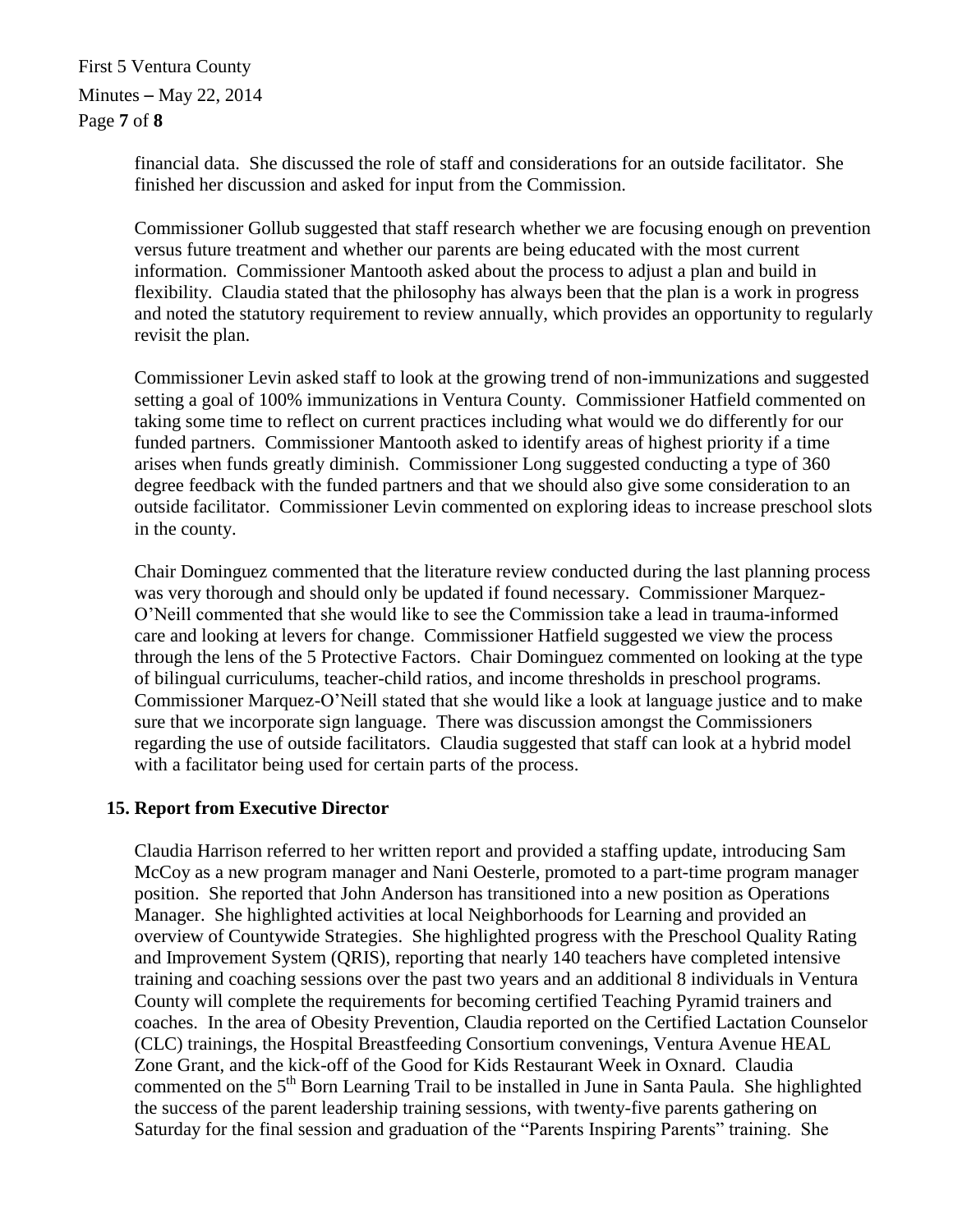First 5 Ventura County Minutes – May 22, 2014 Page **7** of **8**

> financial data. She discussed the role of staff and considerations for an outside facilitator. She finished her discussion and asked for input from the Commission.

Commissioner Gollub suggested that staff research whether we are focusing enough on prevention versus future treatment and whether our parents are being educated with the most current information. Commissioner Mantooth asked about the process to adjust a plan and build in flexibility. Claudia stated that the philosophy has always been that the plan is a work in progress and noted the statutory requirement to review annually, which provides an opportunity to regularly revisit the plan.

Commissioner Levin asked staff to look at the growing trend of non-immunizations and suggested setting a goal of 100% immunizations in Ventura County. Commissioner Hatfield commented on taking some time to reflect on current practices including what would we do differently for our funded partners. Commissioner Mantooth asked to identify areas of highest priority if a time arises when funds greatly diminish. Commissioner Long suggested conducting a type of 360 degree feedback with the funded partners and that we should also give some consideration to an outside facilitator. Commissioner Levin commented on exploring ideas to increase preschool slots in the county.

Chair Dominguez commented that the literature review conducted during the last planning process was very thorough and should only be updated if found necessary. Commissioner Marquez-O'Neill commented that she would like to see the Commission take a lead in trauma-informed care and looking at levers for change. Commissioner Hatfield suggested we view the process through the lens of the 5 Protective Factors. Chair Dominguez commented on looking at the type of bilingual curriculums, teacher-child ratios, and income thresholds in preschool programs. Commissioner Marquez-O'Neill stated that she would like a look at language justice and to make sure that we incorporate sign language. There was discussion amongst the Commissioners regarding the use of outside facilitators. Claudia suggested that staff can look at a hybrid model with a facilitator being used for certain parts of the process.

### **15. Report from Executive Director**

Claudia Harrison referred to her written report and provided a staffing update, introducing Sam McCoy as a new program manager and Nani Oesterle, promoted to a part-time program manager position. She reported that John Anderson has transitioned into a new position as Operations Manager. She highlighted activities at local Neighborhoods for Learning and provided an overview of Countywide Strategies. She highlighted progress with the Preschool Quality Rating and Improvement System (QRIS), reporting that nearly 140 teachers have completed intensive training and coaching sessions over the past two years and an additional 8 individuals in Ventura County will complete the requirements for becoming certified Teaching Pyramid trainers and coaches. In the area of Obesity Prevention, Claudia reported on the Certified Lactation Counselor (CLC) trainings, the Hospital Breastfeeding Consortium convenings, Ventura Avenue HEAL Zone Grant, and the kick-off of the Good for Kids Restaurant Week in Oxnard. Claudia commented on the 5<sup>th</sup> Born Learning Trail to be installed in June in Santa Paula. She highlighted the success of the parent leadership training sessions, with twenty-five parents gathering on Saturday for the final session and graduation of the "Parents Inspiring Parents" training. She